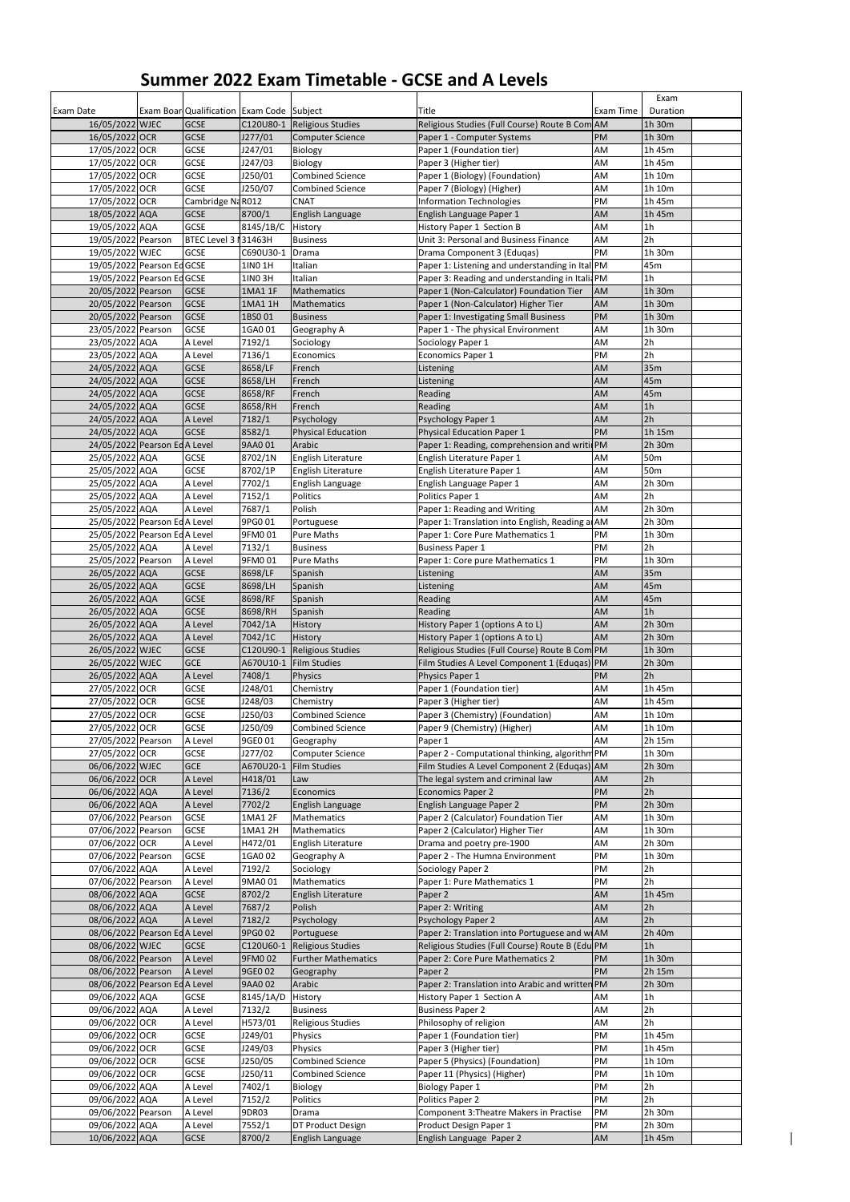## **Summer 2022 Exam Timetable - GCSE and A Levels**

| <b>Exam Date</b>             | Exam Boar Qualification   Exam Code Subject |                |                             | Title                                           | Exam Time | Exam<br>Duration |  |
|------------------------------|---------------------------------------------|----------------|-----------------------------|-------------------------------------------------|-----------|------------------|--|
| 16/05/2022 WJEC              | <b>GCSE</b>                                 |                | C120U80-1 Religious Studies | Religious Studies (Full Course) Route B Com AM  |           | 1h 30m           |  |
| 16/05/2022 OCR               | <b>GCSE</b>                                 | J277/01        | <b>Computer Science</b>     | Paper 1 - Computer Systems                      | <b>PM</b> | 1h 30m           |  |
| 17/05/2022 OCR               | <b>GCSE</b>                                 | J247/01        | Biology                     | Paper 1 (Foundation tier)                       | AM        | 1h 45m           |  |
| 17/05/2022 OCR               | <b>GCSE</b>                                 | J247/03        | Biology                     | Paper 3 (Higher tier)                           | AM        | 1h 45m           |  |
| 17/05/2022 OCR               | <b>GCSE</b>                                 | J250/01        | <b>Combined Science</b>     | Paper 1 (Biology) (Foundation)                  | AM        | 1h 10m           |  |
| 17/05/2022 OCR               | <b>GCSE</b>                                 | J250/07        | <b>Combined Science</b>     | Paper 7 (Biology) (Higher)                      | AM        | 1h 10m           |  |
| 17/05/2022 OCR               | Cambridge NaR012                            |                | <b>CNAT</b>                 | <b>Information Technologies</b>                 | PM        | 1h 45m           |  |
| 18/05/2022 AQA               | <b>GCSE</b>                                 | 8700/1         | English Language            | English Language Paper 1                        | AM        | 1h 45m           |  |
| 19/05/2022 AQA               | <b>GCSE</b>                                 | 8145/1B/C      | History                     | History Paper 1 Section B                       | AM        | 1 <sub>h</sub>   |  |
| 19/05/2022 Pearson           | BTEC Level 3   31463H                       |                | <b>Business</b>             | Unit 3: Personal and Business Finance           | AM        | 2h               |  |
| 19/05/2022 WJEC              | <b>GCSE</b>                                 | C690U30-1      | Drama                       | Drama Component 3 (Eduqas)                      | PM        | 1h 30m           |  |
| 19/05/2022 Pearson EdGCSE    |                                             | 1IN0 1H        | Italian                     | Paper 1: Listening and understanding in Ital PM |           | 45m              |  |
| 19/05/2022 Pearson EdGCSE    |                                             | 1IN0 3H        | Italian                     | Paper 3: Reading and understanding in ItaliaPM  |           | 1 <sub>h</sub>   |  |
| 20/05/2022 Pearson           | <b>GCSE</b>                                 | <b>1MA1 1F</b> | Mathematics                 | Paper 1 (Non-Calculator) Foundation Tier        | AM        | 1h 30m           |  |
| 20/05/2022 Pearson           | <b>GCSE</b>                                 | 1MA1 1H        | Mathematics                 | Paper 1 (Non-Calculator) Higher Tier            | AM        | 1h 30m           |  |
| 20/05/2022 Pearson           | <b>GCSE</b>                                 | 1BS001         | <b>Business</b>             | Paper 1: Investigating Small Business           | PM        | 1h 30m           |  |
| 23/05/2022 Pearson           | <b>GCSE</b>                                 | 1GA0 01        | Geography A                 | Paper 1 - The physical Environment              | AM        | 1h 30m           |  |
| 23/05/2022 AQA               | A Level                                     | 7192/1         | Sociology                   | Sociology Paper 1                               | AM        | 2h               |  |
| 23/05/2022 AQA               | A Level                                     | 7136/1         | Economics                   | <b>Economics Paper 1</b>                        | PM        | 2h               |  |
| 24/05/2022 AQA               | <b>GCSE</b>                                 | 8658/LF        | French                      | Listening                                       | AM        | 35m              |  |
| 24/05/2022 AQA               | <b>GCSE</b>                                 | 8658/LH        | French                      | Listening                                       | AM        | 45m              |  |
| 24/05/2022 AQA               | <b>GCSE</b>                                 | 8658/RF        | French                      | Reading                                         | AM        | 45m              |  |
| 24/05/2022 AQA               | <b>GCSE</b>                                 | 8658/RH        | French                      | Reading                                         | AM        | 1h               |  |
| 24/05/2022 AQA               | A Level                                     | 7182/1         | Psychology                  | Psychology Paper 1                              | AM        | 2h               |  |
| 24/05/2022 AQA               | <b>GCSE</b>                                 | 8582/1         | <b>Physical Education</b>   | <b>Physical Education Paper 1</b>               | PM        | 1h 15m           |  |
| 24/05/2022 Pearson EdA Level |                                             | 9AA0 01        | Arabic                      | Paper 1: Reading, comprehension and writil PM   |           | 2h 30m           |  |
| 25/05/2022 AQA               | <b>GCSE</b>                                 | 8702/1N        | English Literature          | English Literature Paper 1                      | AM        | 50 <sub>m</sub>  |  |
| 25/05/2022 AQA               | <b>GCSE</b>                                 | 8702/1P        | English Literature          | English Literature Paper 1                      | AM        | 50 <sub>m</sub>  |  |
| 25/05/2022 AQA               | A Level                                     | 7702/1         | English Language            | English Language Paper 1                        | AM        | 2h 30m           |  |
| 25/05/2022 AQA               | A Level                                     | 7152/1         | <b>Politics</b>             | Politics Paper 1                                | AM        | 2h               |  |
| 25/05/2022 AQA               | A Level                                     | 7687/1         | Polish                      | Paper 1: Reading and Writing                    | AM        | 2h 30m           |  |
| 25/05/2022 Pearson EdA Level |                                             | 9PG0 01        | Portuguese                  | Paper 1: Translation into English, Reading a AM |           | 2h 30m           |  |
| 25/05/2022 Pearson EdA Level |                                             | 9FM001         | <b>Pure Maths</b>           | Paper 1: Core Pure Mathematics 1                | PM        | 1h 30m           |  |
| 25/05/2022 AQA               | A Level                                     | 7132/1         | <b>Business</b>             | <b>Business Paper 1</b>                         | PM        | 2h               |  |
| 25/05/2022 Pearson           | A Level                                     | 9FM0 01        | <b>Pure Maths</b>           | Paper 1: Core pure Mathematics 1                | PM        | 1h 30m           |  |
| 26/05/2022 AQA               | <b>GCSE</b>                                 | 8698/LF        | Spanish                     | Listening                                       | AM        | 35m              |  |
| 26/05/2022 AQA               | <b>GCSE</b>                                 | 8698/LH        | Spanish                     | Listening                                       | AM        | 45m              |  |
| 26/05/2022 AQA               | <b>GCSE</b>                                 | 8698/RF        | Spanish                     | Reading                                         | AM        | 45m              |  |
| 26/05/2022 AQA               | <b>GCSE</b>                                 | 8698/RH        | Spanish                     | Reading                                         | AM        | 1h               |  |
| 26/05/2022 AQA               | A Level                                     | 7042/1A        | History                     | History Paper 1 (options A to L)                | AM        | 2h 30m           |  |
| 26/05/2022 AQA               | A Level                                     | 7042/1C        | History                     | History Paper 1 (options A to L)                | AM        | 2h 30m           |  |
| 26/05/2022 WJEC              | <b>GCSE</b>                                 | C120U90-1      | Religious Studies           | Religious Studies (Full Course) Route B Com PM  |           | 1h 30m           |  |
| 26/05/2022 WJEC              | <b>GCE</b>                                  |                | A670U10-1 Film Studies      | Film Studies A Level Component 1 (Edugas) PM    |           | 2h 30m           |  |
| 26/05/2022 AQA               | A Level                                     | 7408/1         | <b>Physics</b>              | Physics Paper 1                                 | <b>PM</b> | 2h               |  |
| 27/05/2022 OCR               | <b>GCSE</b>                                 | J248/01        | Chemistry                   | Paper 1 (Foundation tier)                       | AM        | 1h 45m           |  |
| 27/05/2022 OCR               | <b>GCSE</b>                                 | J248/03        | Chemistry                   | Paper 3 (Higher tier)                           | AM        | 1h 45m           |  |
| 27/05/2022 OCR               | <b>GCSE</b>                                 | J250/03        | <b>Combined Science</b>     | Paper 3 (Chemistry) (Foundation)                | AM        | 1h 10m           |  |
| 27/05/2022 OCR               | <b>GCSE</b>                                 | J250/09        | <b>Combined Science</b>     | Paper 9 (Chemistry) (Higher)                    | AM        | 1h 10m           |  |
| 27/05/2022 Pearson           | A Level                                     | 9GE0 01        | Geography                   | Paper 1                                         | AM        | 2h 15m           |  |
| 27/05/2022 OCR               | <b>GCSE</b>                                 | J277/02        | <b>Computer Science</b>     | Paper 2 - Computational thinking, algorithm PM  |           | 1h 30m           |  |
| 06/06/2022 WJEC              | <b>GCE</b>                                  | A670U20-1      | <b>Film Studies</b>         | Film Studies A Level Component 2 (Eduqas) AM    |           | 2h 30m           |  |
| 06/06/2022 OCR               | A Level                                     | H418/01        | Law                         | The legal system and criminal law               | <b>AM</b> | 2h               |  |
| 06/06/2022 AQA               | A Level                                     | 7136/2         | Economics                   | <b>Economics Paper 2</b>                        | <b>PM</b> | 2h               |  |
| 06/06/2022 AQA               | A Level                                     | 7702/2         | English Language            | English Language Paper 2                        | PM        | 2h 30m           |  |
| 07/06/2022 Pearson           | <b>GCSE</b>                                 | 1MA1 2F        | Mathematics                 | Paper 2 (Calculator) Foundation Tier            | AM        | 1h 30m           |  |
| 07/06/2022 Pearson           | <b>GCSE</b>                                 | 1MA1 2H        | Mathematics                 | Paper 2 (Calculator) Higher Tier                | AM        | 1h 30m           |  |
| 07/06/2022 OCR               | A Level                                     | H472/01        | English Literature          | Drama and poetry pre-1900                       | AM        | 2h 30m           |  |
| 07/06/2022 Pearson           | <b>GCSE</b>                                 | 1GA0 02        | Geography A                 | Paper 2 - The Humna Environment                 | PM        | 1h 30m           |  |
| 07/06/2022 AQA               | A Level                                     | 7192/2         | Sociology                   | Sociology Paper 2                               | PM        | 2h               |  |
| 07/06/2022 Pearson           | A Level                                     | 9MA0 01        | Mathematics                 | Paper 1: Pure Mathematics 1                     | PM        | 2h               |  |
| 08/06/2022 AQA               | <b>GCSE</b>                                 | 8702/2         | English Literature          | Paper 2                                         | AM        | 1h 45m           |  |
| 08/06/2022 AQA               | A Level                                     | 7687/2         | Polish                      | Paper 2: Writing                                | AM        | 2h               |  |
| 08/06/2022 AQA               | A Level                                     | 7182/2         | Psychology                  | <b>Psychology Paper 2</b>                       | AM        | 2h               |  |
| 08/06/2022 Pearson EdA Level |                                             | 9PG0 02        | Portuguese                  | Paper 2: Translation into Portuguese and w AM   |           | 2h 40m           |  |
| 08/06/2022 WJEC              | <b>GCSE</b>                                 | C120U60-1      | <b>Religious Studies</b>    | Religious Studies (Full Course) Route B (Edu PM |           | 1h               |  |
| 08/06/2022 Pearson           | A Level                                     | 9FM0 02        | <b>Further Mathematics</b>  | Paper 2: Core Pure Mathematics 2                | PM        | 1h 30m           |  |
| 08/06/2022 Pearson           | A Level                                     | 9GE0 02        | Geography                   | Paper 2                                         | PM        | 2h 15m           |  |
| 08/06/2022 Pearson EdA Level |                                             | 9AA0 02        | Arabic                      | Paper 2: Translation into Arabic and written PM |           | 2h 30m           |  |
| 09/06/2022 AQA               | <b>GCSE</b>                                 | 8145/1A/D      | History                     | History Paper 1 Section A                       | AM        | 1 <sub>h</sub>   |  |
| 09/06/2022 AQA               | A Level                                     | 7132/2         | <b>Business</b>             | <b>Business Paper 2</b>                         | AM        | 2h               |  |
| 09/06/2022 OCR               | A Level                                     | H573/01        | <b>Religious Studies</b>    | Philosophy of religion                          | AM        | 2h               |  |
| 09/06/2022 OCR               | <b>GCSE</b>                                 | J249/01        | Physics                     | Paper 1 (Foundation tier)                       | PM        | 1h 45m           |  |
| 09/06/2022 OCR               | <b>GCSE</b>                                 | J249/03        | <b>Physics</b>              | Paper 3 (Higher tier)                           | PM        | 1h 45m           |  |
| 09/06/2022 OCR               | <b>GCSE</b>                                 | J250/05        | <b>Combined Science</b>     | Paper 5 (Physics) (Foundation)                  | PM        | 1h 10m           |  |
| 09/06/2022 OCR               | <b>GCSE</b>                                 | J250/11        | <b>Combined Science</b>     | Paper 11 (Physics) (Higher)                     | PM        | 1h 10m           |  |
| 09/06/2022 AQA               | A Level                                     | 7402/1         | Biology                     | <b>Biology Paper 1</b>                          | PM        | 2h               |  |
| 09/06/2022 AQA               | A Level                                     | 7152/2         | Politics                    | <b>Politics Paper 2</b>                         | PM        | 2h               |  |
| 09/06/2022 Pearson           | A Level                                     | 9DR03          | Drama                       | <b>Component 3: Theatre Makers in Practise</b>  | PM        | 2h 30m           |  |
| 09/06/2022 AQA               | A Level                                     | 7552/1         | DT Product Design           | Product Design Paper 1                          | PM        | 2h 30m           |  |
| 10/06/2022 AQA               | <b>GCSE</b>                                 | 8700/2         | English Language            | English Language Paper 2                        | AM        | 1h 45m           |  |
|                              |                                             |                |                             |                                                 |           |                  |  |